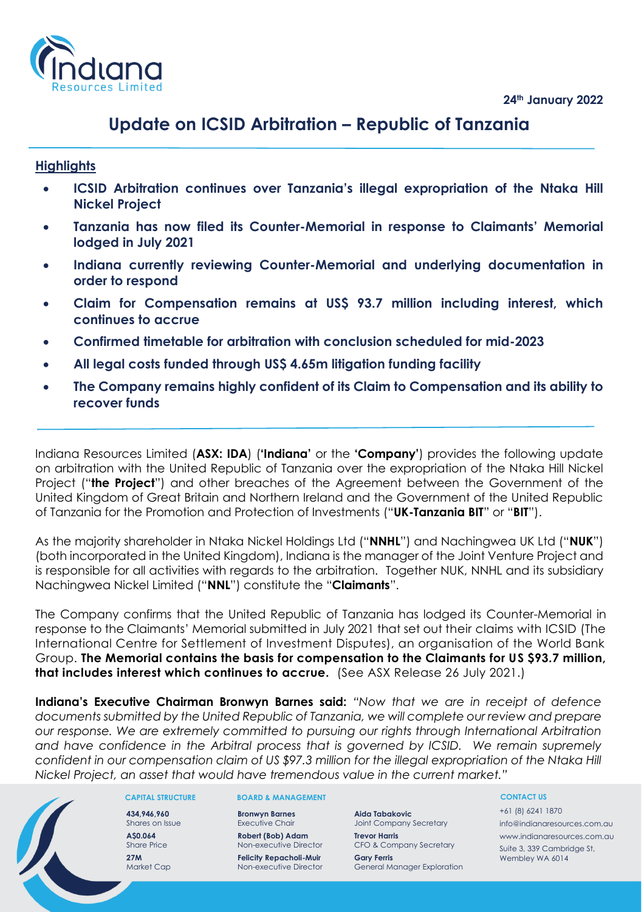**24th January 2022**



# **Update on ICSID Arbitration – Republic of Tanzania**

## **Highlights**

- **ICSID Arbitration continues over Tanzania's illegal expropriation of the Ntaka Hill Nickel Project**
- **Tanzania has now filed its Counter-Memorial in response to Claimants' Memorial lodged in July 2021**
- **Indiana currently reviewing Counter-Memorial and underlying documentation in order to respond**
- **Claim for Compensation remains at US\$ 93.7 million including interest, which continues to accrue**
- **Confirmed timetable for arbitration with conclusion scheduled for mid-2023**
- **All legal costs funded through US\$ 4.65m litigation funding facility**
- **The Company remains highly confident of its Claim to Compensation and its ability to recover funds**

Indiana Resources Limited (**ASX: IDA**) (**'Indiana'** or the **'Company'**) provides the following update on arbitration with the United Republic of Tanzania over the expropriation of the Ntaka Hill Nickel Project ("**the Project**") and other breaches of the Agreement between the Government of the United Kingdom of Great Britain and Northern Ireland and the Government of the United Republic of Tanzania for the Promotion and Protection of Investments ("**UK-Tanzania BIT**" or "**BIT**").

As the majority shareholder in Ntaka Nickel Holdings Ltd ("**NNHL**") and Nachingwea UK Ltd ("**NUK**") (both incorporated in the United Kingdom), Indiana is the manager of the Joint Venture Project and is responsible for all activities with regards to the arbitration. Together NUK, NNHL and its subsidiary Nachingwea Nickel Limited ("**NNL**") constitute the "**Claimants**".

The Company confirms that the United Republic of Tanzania has lodged its Counter-Memorial in response to the Claimants' Memorial submitted in July 2021 that set out their claims with ICSID (The International Centre for Settlement of Investment Disputes), an organisation of the World Bank Group. **The Memorial contains the basis for compensation to the Claimants for US \$93.7 million, that includes interest which continues to accrue.** (See ASX Release 26 July 2021.)

**Indiana's Executive Chairman Bronwyn Barnes said:** *"Now that we are in receipt of defence documents submitted by the United Republic of Tanzania, we will complete our review and prepare our response. We are extremely committed to pursuing our rights through International Arbitration and have confidence in the Arbitral process that is governed by ICSID. We remain supremely confident in our compensation claim of US \$97.3 million for the illegal expropriation of the Ntaka Hill Nickel Project, an asset that would have tremendous value in the current market."*



#### **CAPITAL STRUCTURE**

**434,946,960** Shares on Issue **A\$0.064** Share Price **27M** Market Cap

#### **BOARD & MANAGEMENT**

**Bronwyn Barnes** Executive Chair **Robert (Bob) Adam** Non-executive Director **Felicity Repacholi-Muir** Non-executive Director

**Aida Tabakovic**  Joint Company Secretary **Trevor Harris** CFO & Company Secretary **Gary Ferris** General Manager Exploration

#### **CONTACT US**

+61 (8) 6241 1870 info@indianaresources.com.au www.indianaresources.com.au Suite 3, 339 Cambridge St, Wembley WA 6014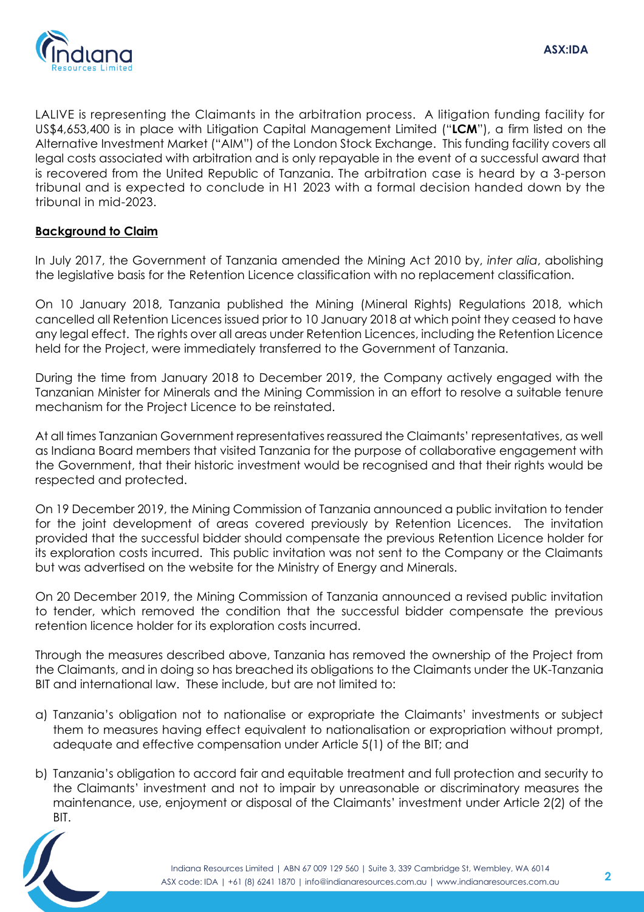

LALIVE is representing the Claimants in the arbitration process. A litigation funding facility for US\$4,653,400 is in place with Litigation Capital Management Limited ("**LCM**"), a firm listed on the Alternative Investment Market ("AIM") of the London Stock Exchange. This funding facility covers all legal costs associated with arbitration and is only repayable in the event of a successful award that is recovered from the United Republic of Tanzania. The arbitration case is heard by a 3-person tribunal and is expected to conclude in H1 2023 with a formal decision handed down by the tribunal in mid-2023.

## **Background to Claim**

In July 2017, the Government of Tanzania amended the Mining Act 2010 by, *inter alia*, abolishing the legislative basis for the Retention Licence classification with no replacement classification.

On 10 January 2018, Tanzania published the Mining (Mineral Rights) Regulations 2018, which cancelled all Retention Licences issued prior to 10 January 2018 at which point they ceased to have any legal effect. The rights over all areas under Retention Licences, including the Retention Licence held for the Project, were immediately transferred to the Government of Tanzania.

During the time from January 2018 to December 2019, the Company actively engaged with the Tanzanian Minister for Minerals and the Mining Commission in an effort to resolve a suitable tenure mechanism for the Project Licence to be reinstated.

At all times Tanzanian Government representatives reassured the Claimants' representatives, as well as Indiana Board members that visited Tanzania for the purpose of collaborative engagement with the Government, that their historic investment would be recognised and that their rights would be respected and protected.

On 19 December 2019, the Mining Commission of Tanzania announced a public invitation to tender for the joint development of areas covered previously by Retention Licences. The invitation provided that the successful bidder should compensate the previous Retention Licence holder for its exploration costs incurred. This public invitation was not sent to the Company or the Claimants but was advertised on the website for the Ministry of Energy and Minerals.

On 20 December 2019, the Mining Commission of Tanzania announced a revised public invitation to tender, which removed the condition that the successful bidder compensate the previous retention licence holder for its exploration costs incurred.

Through the measures described above, Tanzania has removed the ownership of the Project from the Claimants, and in doing so has breached its obligations to the Claimants under the UK-Tanzania BIT and international law. These include, but are not limited to:

- a) Tanzania's obligation not to nationalise or expropriate the Claimants' investments or subject them to measures having effect equivalent to nationalisation or expropriation without prompt, adequate and effective compensation under Article 5(1) of the BIT; and
- b) Tanzania's obligation to accord fair and equitable treatment and full protection and security to the Claimants' investment and not to impair by unreasonable or discriminatory measures the maintenance, use, enjoyment or disposal of the Claimants' investment under Article 2(2) of the BIT.